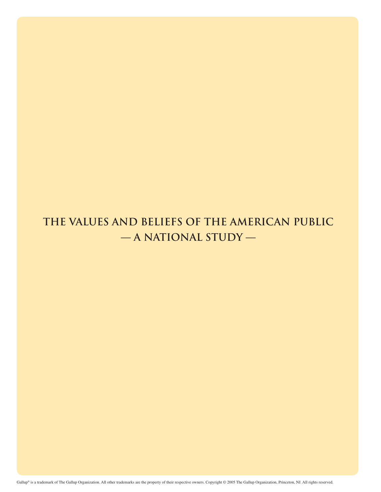# **THE VALUES AND BELIEFS OF THE AMERICAN PUBLIC — A NATIONAL STUDY —**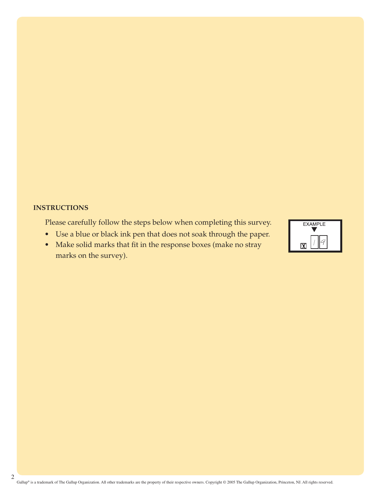#### **INSTRUCTIONS**

Please carefully follow the steps below when completing this survey.

- Use a blue or black ink pen that does not soak through the paper.
- Make solid marks that fit in the response boxes (make no stray marks on the survey).

| <b>EXAMPLE</b> |  |
|----------------|--|
| IXI            |  |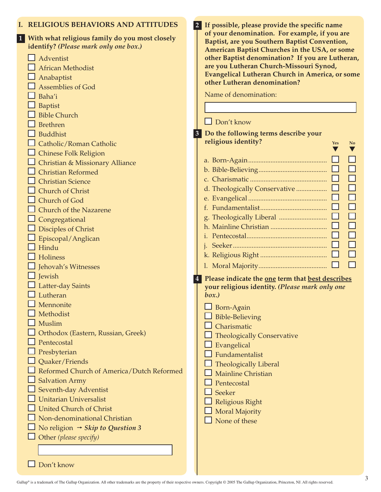| <b>RELIGIOUS BEHAVIORS AND ATTITUDES</b>       | 2 If possible, please provide the specific name                                                   |
|------------------------------------------------|---------------------------------------------------------------------------------------------------|
| With what religious family do you most closely | of your denomination. For example, if you are                                                     |
| identify? (Please mark only one box.)          | Baptist, are you Southern Baptist Convention,                                                     |
| Adventist                                      | American Baptist Churches in the USA, or some<br>other Baptist denomination? If you are Lutheran, |
| <b>African Methodist</b>                       | are you Lutheran Church-Missouri Synod,                                                           |
|                                                | Evangelical Lutheran Church in America, or some                                                   |
| Anabaptist                                     | other Lutheran denomination?                                                                      |
| Assemblies of God                              | Name of denomination:                                                                             |
| Baha'i                                         |                                                                                                   |
| Baptist                                        |                                                                                                   |
| <b>Bible Church</b>                            | $\Box$ Don't know                                                                                 |
| <b>Brethren</b>                                |                                                                                                   |
| <b>Buddhist</b>                                | 3 Do the following terms describe your<br>religious identity?                                     |
| Catholic/Roman Catholic                        | <b>Yes</b><br>N <sub>0</sub>                                                                      |
| <b>Chinese Folk Religion</b>                   |                                                                                                   |
| Christian & Missionary Alliance                |                                                                                                   |
| <b>Christian Reformed</b>                      |                                                                                                   |
| <b>Christian Science</b>                       |                                                                                                   |
| <b>Church of Christ</b>                        |                                                                                                   |
| Church of God                                  |                                                                                                   |
| <b>Church of the Nazarene</b>                  |                                                                                                   |
| Congregational                                 |                                                                                                   |
| Disciples of Christ                            |                                                                                                   |
| Episcopal/Anglican                             |                                                                                                   |
| Hindu                                          |                                                                                                   |
| Holiness                                       |                                                                                                   |
| Jehovah's Witnesses                            |                                                                                                   |
| Jewish                                         | Please indicate the one term that best describes                                                  |
| Latter-day Saints                              | your religious identity. (Please mark only one                                                    |
| Lutheran                                       | box.)                                                                                             |
| Mennonite                                      | Born-Again                                                                                        |
| Methodist                                      | <b>Bible-Believing</b>                                                                            |
| Muslim                                         | Charismatic                                                                                       |
| Orthodox (Eastern, Russian, Greek)             | <b>Theologically Conservative</b>                                                                 |
| Pentecostal                                    | Evangelical                                                                                       |
| Presbyterian                                   | Fundamentalist                                                                                    |
| Quaker/Friends                                 | <b>Theologically Liberal</b>                                                                      |
| Reformed Church of America/Dutch Reformed      | <b>Mainline Christian</b>                                                                         |
| <b>Salvation Army</b>                          | Pentecostal                                                                                       |
| Seventh-day Adventist                          | Seeker                                                                                            |
| <b>Unitarian Universalist</b>                  | Religious Right                                                                                   |
| <b>United Church of Christ</b>                 | <b>Moral Majority</b>                                                                             |
| Non-denominational Christian                   | None of these                                                                                     |
| No religion $\rightarrow$ Skip to Question 3   |                                                                                                   |
| Other (please specify)                         |                                                                                                   |
|                                                |                                                                                                   |
|                                                |                                                                                                   |

■ Don't know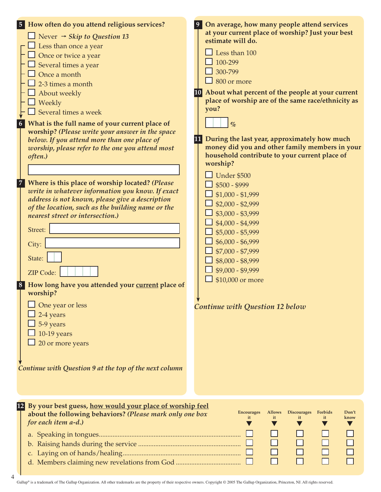| $\sqrt{7}$ | 5 How often do you attend religious services?<br>$\Box$ Never $\rightarrow$ Skip to Question 13<br>$\perp$ Less than once a year<br>$\Box$ Once or twice a year<br>$\Box$ Several times a year<br>$\Box$ Once a month<br>2-3 times a month<br>About weekly<br>Weekly<br>$\Box$ Several times a week<br>6 What is the full name of your current place of<br>worship? (Please write your answer in the space<br>below. If you attend more than one place of<br>worship, please refer to the one you attend most<br>often.)<br>Where is this place of worship located? (Please<br>write in whatever information you know. If exact<br>address is not known, please give a description<br>of the location, such as the building name or the<br>nearest street or intersection.)<br>Street:<br>City:<br>State:<br><b>ZIP Code:</b><br>8 How long have you attended your current place of<br>worship?<br>One year or less<br>2-4 years<br>5-9 years<br>10-19 years<br>20 or more years<br>Continue with Question 9 at the top of the next column | On average, how many people attend services<br> 9 <br>at your current place of worship? Just your best<br>estimate will do.<br>Less than 100<br>100-299<br>300-799<br>$\frac{1}{2}$ 800 or more<br>10 About what percent of the people at your current<br>place of worship are of the same race/ethnicity as<br>you?<br>$\%$<br>During the last year, approximately how much<br>11<br>money did you and other family members in your<br>household contribute to your current place of<br>worship?<br>Under \$500<br>$$500 - $999$<br>$$1,000 - $1,999$<br>$$2,000 - $2,999$<br>$$3,000 - $3,999$<br>$$4,000 - $4,999$<br>$$5,000 - $5,999$<br>$$6,000 - $6,999$<br>$$7,000 - $7,999$<br>\$8,000 - \$8,999<br>$$9,000 - $9,999$<br>\$10,000 or more<br>Continue with Question 12 below |
|------------|--------------------------------------------------------------------------------------------------------------------------------------------------------------------------------------------------------------------------------------------------------------------------------------------------------------------------------------------------------------------------------------------------------------------------------------------------------------------------------------------------------------------------------------------------------------------------------------------------------------------------------------------------------------------------------------------------------------------------------------------------------------------------------------------------------------------------------------------------------------------------------------------------------------------------------------------------------------------------------------------------------------------------------------------|---------------------------------------------------------------------------------------------------------------------------------------------------------------------------------------------------------------------------------------------------------------------------------------------------------------------------------------------------------------------------------------------------------------------------------------------------------------------------------------------------------------------------------------------------------------------------------------------------------------------------------------------------------------------------------------------------------------------------------------------------------------------------------------|
|            | 12 By your best guess, how would your place of worship feel<br>about the following behaviors? (Please mark only one box<br>for each item a-d.)                                                                                                                                                                                                                                                                                                                                                                                                                                                                                                                                                                                                                                                                                                                                                                                                                                                                                             | <b>Discourages</b><br><b>Encourages</b><br><b>Allows</b><br>Forbids<br>Don't<br>know<br>it<br>it<br>it<br>it                                                                                                                                                                                                                                                                                                                                                                                                                                                                                                                                                                                                                                                                          |

Gallup® is a trademark of The Gallup Organization. All other trademarks are the property of their respective owners. Copyright © 2005 The Gallup Organization, Princeton, NJ. All rights reserved.

 $\Box$ 

 $\Box$ 

 $\Box$ 

 $\Box$ 

 $\Box$ 

d. Members claiming new revelations from God ......................................

4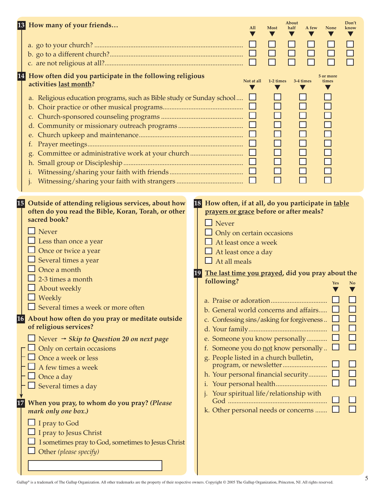|    | 13 How many of your friends                                                                                                                                        | All                                                    | <b>Most</b>           | About<br>half<br>A few | None                    | Don't<br>know  |
|----|--------------------------------------------------------------------------------------------------------------------------------------------------------------------|--------------------------------------------------------|-----------------------|------------------------|-------------------------|----------------|
|    |                                                                                                                                                                    |                                                        |                       |                        |                         |                |
|    |                                                                                                                                                                    |                                                        |                       |                        |                         |                |
|    |                                                                                                                                                                    |                                                        |                       |                        |                         |                |
|    | 14 <br>How often did you participate in the following religious<br>activities last month?<br>a. Religious education programs, such as Bible study or Sunday school | Not at all                                             | 1-2 times             | 3-4 times              | 5 or more<br>times<br>V |                |
|    | b.<br>t.                                                                                                                                                           | $\Box$                                                 | $\Box$<br>8888<br>889 |                        | 000000                  |                |
|    | $\cdot$                                                                                                                                                            |                                                        | $\Box$<br>$\Box$<br>П | $\Box$                 | $\Box$                  |                |
|    | 15 Outside of attending religious services, about how                                                                                                              | 18 How often, if at all, do you participate in table   |                       |                        |                         |                |
|    | often do you read the Bible, Koran, Torah, or other<br>sacred book?                                                                                                | prayers or grace before or after meals?                |                       |                        |                         |                |
|    |                                                                                                                                                                    | $\Box$ Never                                           |                       |                        |                         |                |
|    | Never                                                                                                                                                              | Only on certain occasions                              |                       |                        |                         |                |
|    | Less than once a year                                                                                                                                              | At least once a week                                   |                       |                        |                         |                |
|    | Once or twice a year                                                                                                                                               | $\Box$ At least once a day                             |                       |                        |                         |                |
|    | Several times a year                                                                                                                                               | $\Box$ At all meals                                    |                       |                        |                         |                |
|    | Once a month                                                                                                                                                       | The last time you prayed, did you pray about the<br>19 |                       |                        |                         |                |
|    | 2-3 times a month                                                                                                                                                  | following?                                             |                       |                        | <b>Yes</b>              | N <sub>0</sub> |
|    | About weekly<br>$\Box$ Weekly                                                                                                                                      |                                                        |                       |                        |                         |                |
|    |                                                                                                                                                                    |                                                        |                       |                        |                         |                |
|    | $\Box$ Several times a week or more often                                                                                                                          | b. General world concerns and affairs                  |                       |                        |                         |                |
| 16 | About how often do you pray or meditate outside<br>of religious services?                                                                                          | c. Confessing sins/asking for forgiveness              |                       |                        |                         |                |
|    |                                                                                                                                                                    |                                                        |                       |                        |                         |                |
|    | Never $\rightarrow$ Skip to Question 20 on next page                                                                                                               | e. Someone you know personally                         |                       |                        |                         |                |
|    | Only on certain occasions                                                                                                                                          | Someone you do not know personally<br>f.               |                       |                        |                         |                |
|    | Once a week or less                                                                                                                                                | g. People listed in a church bulletin,                 |                       |                        |                         |                |
|    | A few times a week                                                                                                                                                 | h. Your personal financial security                    |                       |                        |                         |                |
|    | Once a day<br>$\Box$ Several times a day                                                                                                                           |                                                        |                       |                        |                         |                |
|    |                                                                                                                                                                    | Your spiritual life/relationship with                  |                       |                        |                         |                |
|    | When you pray, to whom do you pray? (Please                                                                                                                        |                                                        |                       |                        |                         |                |
|    | mark only one box.)                                                                                                                                                | k. Other personal needs or concerns                    |                       |                        |                         |                |
|    | I pray to God                                                                                                                                                      |                                                        |                       |                        |                         |                |
|    | I pray to Jesus Christ                                                                                                                                             |                                                        |                       |                        |                         |                |
|    | I sometimes pray to God, sometimes to Jesus Christ                                                                                                                 |                                                        |                       |                        |                         |                |
|    | Other (please specify)                                                                                                                                             |                                                        |                       |                        |                         |                |

┚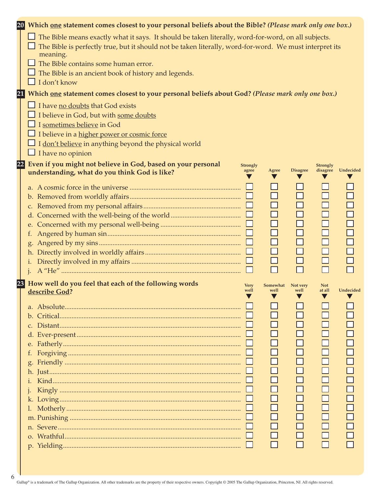|    | 20 Which one statement comes closest to your personal beliefs about the Bible? (Please mark only one box.)                                                                                                                                                                                                                                               |                     |                                                                   |                                                                             |                                                  |                                                                                 |
|----|----------------------------------------------------------------------------------------------------------------------------------------------------------------------------------------------------------------------------------------------------------------------------------------------------------------------------------------------------------|---------------------|-------------------------------------------------------------------|-----------------------------------------------------------------------------|--------------------------------------------------|---------------------------------------------------------------------------------|
|    | $\Box$ The Bible means exactly what it says. It should be taken literally, word-for-word, on all subjects.<br>The Bible is perfectly true, but it should not be taken literally, word-for-word. We must interpret its<br>meaning.<br>The Bible contains some human error.<br>The Bible is an ancient book of history and legends.<br>$\Box$ I don't know |                     |                                                                   |                                                                             |                                                  |                                                                                 |
| 21 | Which one statement comes closest to your personal beliefs about God? (Please mark only one box.)                                                                                                                                                                                                                                                        |                     |                                                                   |                                                                             |                                                  |                                                                                 |
|    | $\Box$ I have no doubts that God exists<br>I believe in God, but with some doubts<br>I sometimes believe in God<br>I believe in a higher power or cosmic force<br>I don't believe in anything beyond the physical world<br>$\Box$ I have no opinion                                                                                                      |                     |                                                                   |                                                                             |                                                  |                                                                                 |
| 22 | Even if you might not believe in God, based on your personal                                                                                                                                                                                                                                                                                             | <b>Strongly</b>     |                                                                   |                                                                             | <b>Strongly</b>                                  |                                                                                 |
|    | understanding, what do you think God is like?<br>t.<br>h.<br>$\mathbf{i}$ .                                                                                                                                                                                                                                                                              | agree               | Agree<br>$\Box$<br>$\Box$<br>$\Box$<br>$\Box$<br>$\Box$<br>$\Box$ | <b>Disagree</b><br>$\Box$<br>$\Box$<br>$\Box$<br>$\Box$<br>$\Box$<br>$\Box$ | disagree<br>$\Box$<br>$\Box$<br>$\Box$<br>$\Box$ | Undecided<br>$\Box$<br>$\Box$<br>$\Box$<br>$\Box$<br>$\Box$<br>$\Box$<br>$\Box$ |
| 23 | How well do you feel that each of the following words<br>describe God?                                                                                                                                                                                                                                                                                   | <b>Very</b><br>well | Somewhat<br>well<br>$\blacktriangledown$                          | Not very<br>well<br>v                                                       | <b>Not</b><br>at all<br>$\blacktriangledown$     | Undecided                                                                       |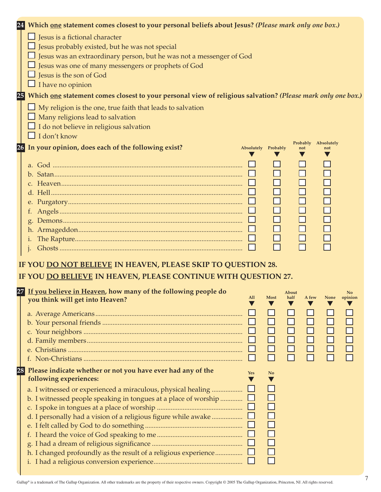| 24 | Which one statement comes closest to your personal beliefs about Jesus? (Please mark only one box.)            |
|----|----------------------------------------------------------------------------------------------------------------|
|    | $\Box$ Jesus is a fictional character                                                                          |
|    | Jesus probably existed, but he was not special                                                                 |
|    | Jesus was an extraordinary person, but he was not a messenger of God                                           |
|    | Jesus was one of many messengers or prophets of God                                                            |
|    | Jesus is the son of God                                                                                        |
|    | $\Box$ I have no opinion                                                                                       |
|    | 25 Which one statement comes closest to your personal view of religious salvation? (Please mark only one box.) |
|    | $\Box$ My religion is the one, true faith that leads to salvation                                              |
|    | Many religions lead to salvation                                                                               |
|    | $\Box$ I do not believe in religious salvation                                                                 |
|    | $\Box$ I don't know                                                                                            |
|    | Probably Absolutely<br>26 In your opinion, does each of the following exist?<br>Absolutely Probably<br>not     |
|    |                                                                                                                |
|    |                                                                                                                |
|    |                                                                                                                |
|    |                                                                                                                |
|    | $\Box$<br>$\Box$<br>$\Box$                                                                                     |
|    | $\Box$<br>$\Box$<br>$\Box$                                                                                     |
|    | $\Box$<br>$\Box$                                                                                               |
|    | $\Box$<br>$\Box$                                                                                               |
|    | $\Box$<br>$\Box$<br>$\Box$                                                                                     |
|    |                                                                                                                |
|    |                                                                                                                |
|    | IF YOU DO NOT BELIEVE IN HEAVEN, PLEASE SKIP TO QUESTION 28.                                                   |
|    | IF YOU DO BELIEVE IN HEAVEN, PLEASE CONTINUE WITH QUESTION 27.                                                 |
|    | 27 If you believe in Heaven, how many of the following people do<br>About<br>N <sub>0</sub>                    |
|    | All Most half A few None opinion<br>you think will get into Heaven?                                            |
|    |                                                                                                                |
|    |                                                                                                                |
|    |                                                                                                                |
|    | 88<br>88<br>8                                                                                                  |
|    |                                                                                                                |
|    |                                                                                                                |
| 28 | Please indicate whether or not you have ever had any of the<br><b>Yes</b><br>N <sub>o</sub>                    |
|    | following experiences:                                                                                         |
|    | a. I witnessed or experienced a miraculous, physical healing                                                   |
|    | b. I witnessed people speaking in tongues at a place of worship $\Box$                                         |
|    |                                                                                                                |
|    | $\Box$<br>d. I personally had a vision of a religious figure while awake                                       |
|    |                                                                                                                |
|    | 88<br>88                                                                                                       |
|    |                                                                                                                |
|    |                                                                                                                |
|    |                                                                                                                |
|    |                                                                                                                |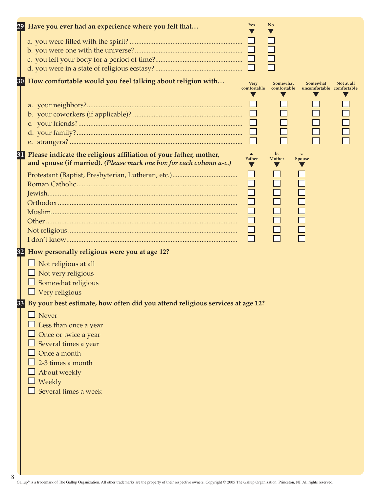|    | 29 Have you ever had an experience where you felt that                           | <b>Yes</b>                 | N <sub>o</sub>          |                                       |            |
|----|----------------------------------------------------------------------------------|----------------------------|-------------------------|---------------------------------------|------------|
|    |                                                                                  |                            |                         |                                       |            |
|    |                                                                                  |                            |                         |                                       |            |
|    |                                                                                  |                            |                         |                                       |            |
|    |                                                                                  |                            |                         |                                       |            |
|    |                                                                                  |                            |                         |                                       |            |
|    | 30 How comfortable would you feel talking about religion with                    | <b>Very</b><br>comfortable | Somewhat<br>comfortable | Somewhat<br>uncomfortable comfortable | Not at all |
|    |                                                                                  |                            |                         |                                       |            |
|    |                                                                                  | ப                          |                         |                                       |            |
|    |                                                                                  |                            |                         |                                       |            |
|    |                                                                                  |                            |                         |                                       |            |
|    |                                                                                  | ⊔                          |                         |                                       |            |
|    |                                                                                  |                            |                         |                                       |            |
| 31 | Please indicate the religious affiliation of your father, mother,                | a.                         | $\mathbf{b}$ .          | c.                                    |            |
|    | and spouse (if married). (Please mark one box for each column a-c.)              | <b>Father</b>              | Mother                  | <b>Spouse</b>                         |            |
|    |                                                                                  |                            |                         |                                       |            |
|    |                                                                                  |                            |                         |                                       |            |
|    |                                                                                  |                            |                         |                                       |            |
|    |                                                                                  |                            |                         |                                       |            |
|    |                                                                                  |                            |                         |                                       |            |
|    |                                                                                  |                            |                         |                                       |            |
|    |                                                                                  |                            |                         |                                       |            |
|    |                                                                                  |                            |                         |                                       |            |
| 32 | How personally religious were you at age 12?                                     |                            |                         |                                       |            |
|    |                                                                                  |                            |                         |                                       |            |
|    | $\Box$ Not religious at all                                                      |                            |                         |                                       |            |
|    | Not very religious                                                               |                            |                         |                                       |            |
|    | Somewhat religious                                                               |                            |                         |                                       |            |
|    | Very religious                                                                   |                            |                         |                                       |            |
|    | 33 By your best estimate, how often did you attend religious services at age 12? |                            |                         |                                       |            |
|    | $\Box$ Never                                                                     |                            |                         |                                       |            |
|    | Less than once a year                                                            |                            |                         |                                       |            |
|    | Once or twice a year                                                             |                            |                         |                                       |            |
|    | Several times a year                                                             |                            |                         |                                       |            |
|    | Once a month                                                                     |                            |                         |                                       |            |
|    | 2-3 times a month                                                                |                            |                         |                                       |            |
|    | About weekly                                                                     |                            |                         |                                       |            |
|    | Weekly                                                                           |                            |                         |                                       |            |
|    | Several times a week                                                             |                            |                         |                                       |            |
|    |                                                                                  |                            |                         |                                       |            |
|    |                                                                                  |                            |                         |                                       |            |
|    |                                                                                  |                            |                         |                                       |            |
|    |                                                                                  |                            |                         |                                       |            |
|    |                                                                                  |                            |                         |                                       |            |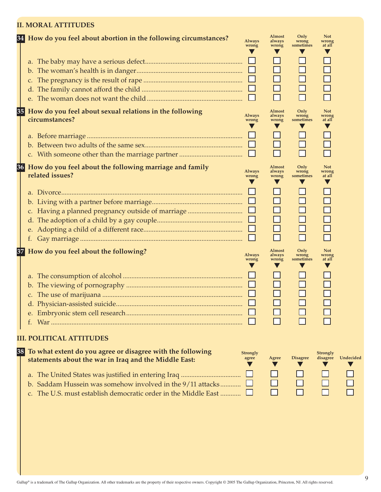#### **II. MORAL ATTITUDES**

|    | 34 How do you feel about abortion in the following circumstances?                                                                                                                                                                                                                      | <b>Always</b><br>wrong   | Almost<br>always<br>wrong | Only<br>wrong<br>sometimes | <b>Not</b><br>wrong<br>at all |           |
|----|----------------------------------------------------------------------------------------------------------------------------------------------------------------------------------------------------------------------------------------------------------------------------------------|--------------------------|---------------------------|----------------------------|-------------------------------|-----------|
|    |                                                                                                                                                                                                                                                                                        |                          |                           |                            |                               |           |
|    | 35 How do you feel about sexual relations in the following<br>circumstances?                                                                                                                                                                                                           | <b>Always</b><br>wrong   | Almost<br>always<br>wrong | Only<br>wrong<br>sometimes | <b>Not</b><br>wrong<br>at all |           |
| d. | 36 How do you feel about the following marriage and family<br>related issues?<br>c. Having a planned pregnancy outside of marriage                                                                                                                                                     | <b>Always</b><br>wrong   | Almost<br>always<br>wrong | Only<br>wrong<br>sometimes | <b>Not</b><br>wrong<br>at all |           |
| 37 | How do you feel about the following?                                                                                                                                                                                                                                                   | <b>Always</b><br>wrong   | Almost<br>always<br>wrong | Only<br>wrong<br>sometimes | <b>Not</b><br>wrong<br>at all |           |
| 38 | <b>III. POLITICAL ATTITUDES</b><br>To what extent do you agree or disagree with the following<br>statements about the war in Iraq and the Middle East:<br>b. Saddam Hussein was somehow involved in the 9/11 attacks<br>c. The U.S. must establish democratic order in the Middle East | <b>Strongly</b><br>agree | Agree                     | <b>Disagree</b>            | <b>Strongly</b><br>disagree   | Undecided |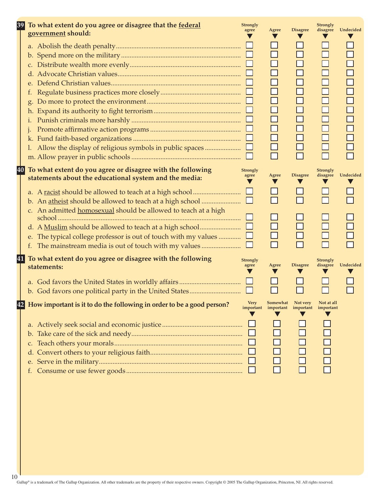| 39 | To what extent do you agree or disagree that the federal<br>government should:                                                                                                                                                                                                                                                  | <b>Strongly</b><br>agree | Agree                                                                                  | <b>Disagree</b>                                                    | Strongly<br>disagree                                     | Undecided |
|----|---------------------------------------------------------------------------------------------------------------------------------------------------------------------------------------------------------------------------------------------------------------------------------------------------------------------------------|--------------------------|----------------------------------------------------------------------------------------|--------------------------------------------------------------------|----------------------------------------------------------|-----------|
|    | t.<br>h.<br>1.<br>1. Allow the display of religious symbols in public spaces                                                                                                                                                                                                                                                    |                          | $\Box$<br>$\Box$<br>$\Box$<br>$\Box$<br>$\Box$<br>$\Box$<br>$\Box$<br>$\Box$<br>$\Box$ | $\Box$<br>$\Box$<br>$\Box$<br>$\Box$<br>$\Box$<br>$\Box$<br>$\Box$ | ┓<br>┓<br>$\Box$<br>$\Box$<br>$\Box$<br>$\Box$<br>$\Box$ |           |
|    | 40<br>To what extent do you agree or disagree with the following<br>statements about the educational system and the media:<br>b. An atheist should be allowed to teach at a high school<br>c. An admitted homosexual should be allowed to teach at a high<br>The typical college professor is out of touch with my values<br>e. | <b>Strongly</b><br>agree | Agree<br>v<br>$\Box$                                                                   | <b>Disagree</b>                                                    | Strongly<br>disagree                                     | Undecided |
|    | 41<br>To what extent do you agree or disagree with the following<br>statements:                                                                                                                                                                                                                                                 | <b>Strongly</b><br>agree | Agree                                                                                  | <b>Disagree</b>                                                    | <b>Strongly</b><br>disagree                              | Undecided |
| 42 | How important is it to do the following in order to be a good person?<br>$\mathsf{D}$ .<br>C.<br>d.<br>е.                                                                                                                                                                                                                       | <b>Very</b><br>important | Somewhat<br>important                                                                  | Not very<br>important                                              | Not at all<br>important                                  |           |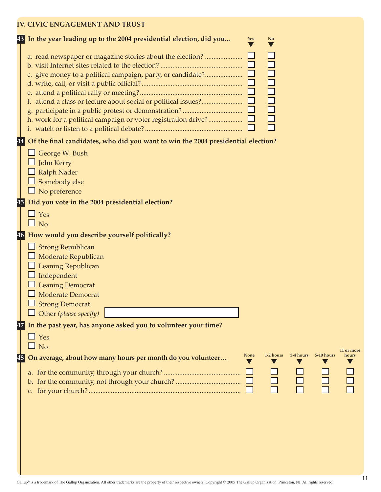### **IV. CIVIC ENGAGEMENT AND TRUST**

|          | 43 In the year leading up to the 2004 presidential election, did you<br>N <sub>o</sub><br>Yes                                                                                                                   |
|----------|-----------------------------------------------------------------------------------------------------------------------------------------------------------------------------------------------------------------|
|          | a. read newspaper or magazine stories about the election?<br>c. give money to a political campaign, party, or candidate?<br>ō<br>$\bar{\Pi}$<br>h. work for a political campaign or voter registration drive?   |
|          | Of the final candidates, who did you want to win the 2004 presidential election?<br>George W. Bush<br>John Kerry<br><b>Ralph Nader</b><br>Somebody else<br>$\Box$ No preference                                 |
| 46       | 45 Did you vote in the 2004 presidential election?<br>$\Box$ Yes<br>$\Box$ No<br>How would you describe yourself politically?                                                                                   |
|          | $\Box$ Strong Republican<br>Moderate Republican<br>Leaning Republican<br>Independent<br><b>Leaning Democrat</b><br>Moderate Democrat<br><b>Strong Democrat</b><br>$\Box$ Other (please specify)                 |
| 47<br>48 | In the past year, has anyone asked you to volunteer your time?<br>$\Box$ Yes<br>$\Box$ No<br><b>None</b><br>1-2 hours<br>3-4 hours<br>5-10 hours<br>On average, about how many hours per month do you volunteer |
|          |                                                                                                                                                                                                                 |

**11 or more hours**

TODO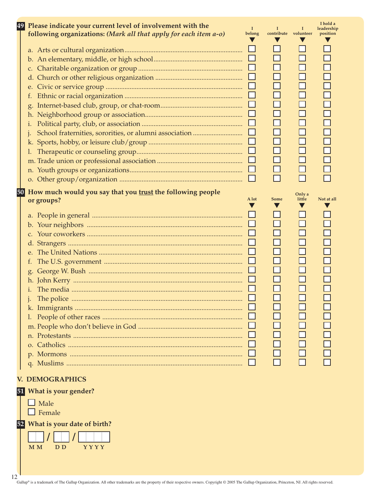| 49<br>Please indicate your current level of involvement with the<br>following organizations: (Mark all that apply for each item a-o)                                                                                                                                                  | $\bf{I}$<br>belong | 1<br>contribute volunteer | 1                                         | I hold a<br>leadership<br>position |
|---------------------------------------------------------------------------------------------------------------------------------------------------------------------------------------------------------------------------------------------------------------------------------------|--------------------|---------------------------|-------------------------------------------|------------------------------------|
| f.<br>i.                                                                                                                                                                                                                                                                              | ⊔                  |                           | $\Box$<br>$\Box$<br>П<br>$\Box$<br>$\Box$ |                                    |
| 50<br>How much would you say that you trust the following people<br>or groups?<br>C <sub>1</sub><br>d.<br>The U.S. government $\ldots$ $\ldots$ $\ldots$ $\ldots$ $\ldots$ $\ldots$ $\ldots$ $\ldots$ $\ldots$ $\ldots$ $\ldots$ $\ldots$<br>f.<br>g.<br>1.<br><b>V. DEMOGRAPHICS</b> | A lot<br>⊔         | <b>Some</b>               | Only a<br>little<br>$\Box$<br>1000<br>000 | Not at all                         |
| 51 What is your gender?                                                                                                                                                                                                                                                               |                    |                           |                                           |                                    |

 $\Box$  Male  $\Box$  Female

 **52 What is your date of birth?**

M M D D Y Y Y Y Y

12<br>Gallup® is a trademark of The Gallup Organization. All other trademarks are the property of their respective owners. Copyright © 2005 The Gallup Organization, Princeton, NJ. All rights reserved.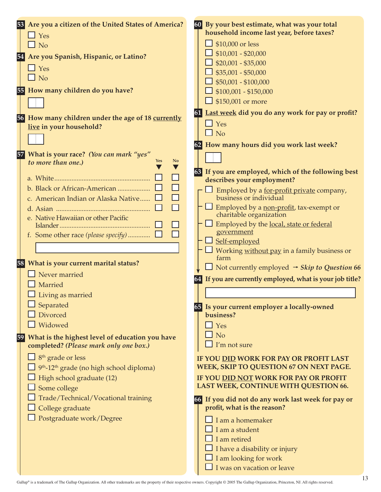| 54       | 53 Are you a citizen of the United States of America?<br>$\Box$ Yes<br>$\square$ No<br>Are you Spanish, Hispanic, or Latino?<br>$\Box$ Yes<br>$\Box$ No<br>55 How many children do you have?                                                                                                                                       | 60 By your best estimate, what was your total<br>household income last year, before taxes?<br>$\Box$ \$10,000 or less<br>$\Box$ \$10,001 - \$20,000<br>$\Box$ \$20,001 - \$35,000<br>$\frac{1}{2}$ \$35,001 - \$50,000<br>$\Box$ \$50,001 - \$100,000<br>$\Box$ \$100,001 - \$150,000<br>$\Box$ \$150,001 or more                                                                                                                                  |  |
|----------|------------------------------------------------------------------------------------------------------------------------------------------------------------------------------------------------------------------------------------------------------------------------------------------------------------------------------------|----------------------------------------------------------------------------------------------------------------------------------------------------------------------------------------------------------------------------------------------------------------------------------------------------------------------------------------------------------------------------------------------------------------------------------------------------|--|
| 56<br>57 | How many children under the age of 18 currently<br>live in your household?<br>What is your race? (You can mark "yes"                                                                                                                                                                                                               | Last week did you do any work for pay or profit?<br>61<br>$\Box$ Yes<br>$\Box$ No<br>62 How many hours did you work last week?                                                                                                                                                                                                                                                                                                                     |  |
|          | N <sub>o</sub><br>to more than one.)<br><b>Yes</b><br>⊔<br>$\Box$<br>b. Black or African-American<br>П<br>c. American Indian or Alaska Native<br>П<br>e. Native Hawaiian or other Pacific                                                                                                                                          | 63 If you are employed, which of the following best<br>describes your employment?<br>Employed by a for-profit private company,<br>business or individual<br>Employed by a non-profit, tax-exempt or<br>charitable organization<br>$\Box$ Employed by the <u>local, state or federal</u><br>government<br>$\Box$ Self-employed<br>$\Box$ Working <u>without pay</u> in a family business or                                                         |  |
|          | 58 What is your current marital status?<br>Never married<br>Married<br>$\Box$ Living as married<br>Separated<br>Divorced<br>Widowed                                                                                                                                                                                                | farm<br>$\Box$ Not currently employed $\rightarrow$ Skip to Question 66<br>If you are currently employed, what is your job title?<br>65 Is your current employer a locally-owned<br>business?<br>$\Box$ Yes                                                                                                                                                                                                                                        |  |
| 59       | What is the highest level of education you have<br>completed? (Please mark only one box.)<br>8 <sup>th</sup> grade or less<br>9 <sup>th</sup> -12 <sup>th</sup> grade (no high school diploma)<br>High school graduate (12)<br>Some college<br>Trade/Technical/Vocational training<br>College graduate<br>Postgraduate work/Degree | N <sub>o</sub><br>I'm not sure<br>IF YOU DID WORK FOR PAY OR PROFIT LAST<br>WEEK, SKIP TO QUESTION 67 ON NEXT PAGE.<br>IF YOU DID NOT WORK FOR PAY OR PROFIT<br>LAST WEEK, CONTINUE WITH QUESTION 66.<br>If you did not do any work last week for pay or<br><b>66</b><br>profit, what is the reason?<br>I am a homemaker<br>I am a student<br>I am retired<br>I have a disability or injury<br>I am looking for work<br>I was on vacation or leave |  |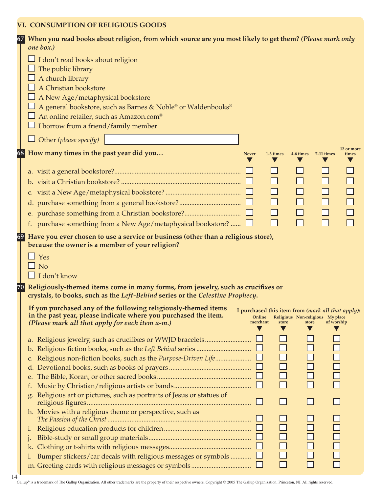#### **VI. CONSUMPTION OF RELIGIOUS GOODS**

| 67 | When you read books about religion, from which source are you most likely to get them? (Please mark only            |
|----|---------------------------------------------------------------------------------------------------------------------|
|    | one box.)                                                                                                           |
|    | $\Box$ I don't read books about religion                                                                            |
|    | The public library                                                                                                  |
|    | A church library                                                                                                    |
|    | A Christian bookstore                                                                                               |
|    | A New Age/metaphysical bookstore                                                                                    |
|    | A general bookstore, such as Barnes & Noble® or Waldenbooks®                                                        |
|    | $\Box$ An online retailer, such as Amazon.com <sup>®</sup>                                                          |
|    | $\Box$ I borrow from a friend/family member                                                                         |
|    | $\Box$ Other (please specify)                                                                                       |
|    | 12 or more                                                                                                          |
|    | 68 How many times in the past year did you<br><b>Never</b><br>1-3 times<br>4-6 times<br>7-11 times<br>times         |
|    |                                                                                                                     |
|    | $\Box$                                                                                                              |
|    | П<br>П                                                                                                              |
|    | $\Box$<br>$\Box$                                                                                                    |
|    |                                                                                                                     |
|    | $\Box$<br>$\Box$<br>$\Box$                                                                                          |
|    | $\Box$<br>П<br>f. purchase something from a New Age/metaphysical bookstore? $\Box$                                  |
|    | 69 Have you ever chosen to use a service or business (other than a religious store),                                |
|    | because the owner is a member of your religion?                                                                     |
|    | $\Box$ Yes                                                                                                          |
|    | $\Box$ No                                                                                                           |
|    | $\Box$ I don't know                                                                                                 |
|    | 70 Religiously-themed items come in many forms, from jewelry, such as crucifixes or                                 |
|    | crystals, to books, such as the Left-Behind series or the Celestine Prophecy.                                       |
|    | If you purchased any of the following religiously-themed items<br>I purchased this item from (mark all that apply): |
|    | in the past year, please indicate where you purchased the item.<br>Online<br>Religious Non-religious My place       |
|    | merchant<br>(Please mark all that apply for each item a-m.)<br>store<br>store<br>of worship                         |
|    |                                                                                                                     |
|    | $\Box$                                                                                                              |
|    | c.                                                                                                                  |
|    | <b>0000</b>                                                                                                         |
|    | e.                                                                                                                  |
|    | П<br>t.                                                                                                             |
|    | Religious art or pictures, such as portraits of Jesus or statues of<br>g.                                           |
|    |                                                                                                                     |
|    | h. Movies with a religious theme or perspective, such as                                                            |
|    |                                                                                                                     |
|    | 1.                                                                                                                  |
|    | $\overline{a}$<br>$\mathbf{1}$                                                                                      |
|    | k.                                                                                                                  |
|    | $\overline{\Box}$<br>Bumper stickers/car decals with religious messages or symbols $\Box$<br>Ι.<br>$\Box$           |
|    | П                                                                                                                   |

Gallup® is a trademark of The Gallup Organization. All other trademarks are the property of their respective owners. Copyright © 2005 The Gallup Organization, Princeton, NJ. All rights reserved.  $14$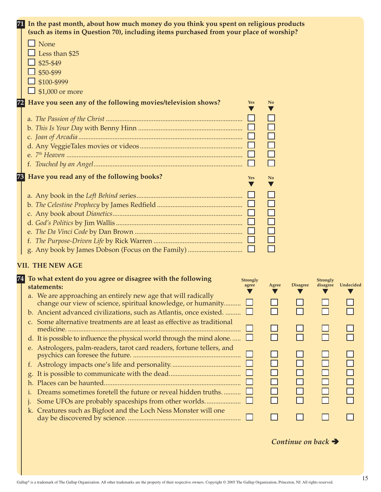|    | 71 In the past month, about how much money do you think you spent on religious products                                                   |                               |                                         |                 |                                            |  |  |
|----|-------------------------------------------------------------------------------------------------------------------------------------------|-------------------------------|-----------------------------------------|-----------------|--------------------------------------------|--|--|
|    | (such as items in Question 70), including items purchased from your place of worship?                                                     |                               |                                         |                 |                                            |  |  |
|    | $\Box$ None                                                                                                                               |                               |                                         |                 |                                            |  |  |
|    | Less than \$25                                                                                                                            |                               |                                         |                 |                                            |  |  |
|    | \$25-\$49                                                                                                                                 |                               |                                         |                 |                                            |  |  |
|    | \$50-\$99                                                                                                                                 |                               |                                         |                 |                                            |  |  |
|    | \$100-\$999                                                                                                                               |                               |                                         |                 |                                            |  |  |
|    | $\Box$ \$1,000 or more                                                                                                                    |                               |                                         |                 |                                            |  |  |
| 72 | Have you seen any of the following movies/television shows?<br>Yes                                                                        | N <sub>0</sub>                |                                         |                 |                                            |  |  |
|    |                                                                                                                                           |                               |                                         |                 |                                            |  |  |
|    |                                                                                                                                           |                               |                                         |                 |                                            |  |  |
|    |                                                                                                                                           |                               |                                         |                 |                                            |  |  |
|    |                                                                                                                                           |                               |                                         |                 |                                            |  |  |
|    |                                                                                                                                           |                               |                                         |                 |                                            |  |  |
|    |                                                                                                                                           |                               |                                         |                 |                                            |  |  |
| 73 | Have you read any of the following books?<br><b>Yes</b>                                                                                   | N <sub>0</sub>                |                                         |                 |                                            |  |  |
|    |                                                                                                                                           |                               |                                         |                 |                                            |  |  |
|    |                                                                                                                                           |                               |                                         |                 |                                            |  |  |
|    |                                                                                                                                           |                               |                                         |                 |                                            |  |  |
|    |                                                                                                                                           |                               |                                         |                 |                                            |  |  |
|    |                                                                                                                                           |                               |                                         |                 |                                            |  |  |
|    |                                                                                                                                           |                               |                                         |                 |                                            |  |  |
|    |                                                                                                                                           |                               |                                         |                 |                                            |  |  |
|    |                                                                                                                                           |                               |                                         |                 |                                            |  |  |
|    | <b>VII. THE NEW AGE</b>                                                                                                                   |                               |                                         |                 |                                            |  |  |
|    | 74 To what extent do you agree or disagree with the following<br><b>Strongly</b>                                                          |                               |                                         | <b>Strongly</b> |                                            |  |  |
|    | agree<br>statements:                                                                                                                      | Agree<br>$\blacktriangledown$ | <b>Disagree</b><br>$\blacktriangledown$ | v               | disagree Undecided<br>$\blacktriangledown$ |  |  |
|    | a. We are approaching an entirely new age that will radically                                                                             |                               |                                         |                 |                                            |  |  |
|    | change our view of science, spiritual knowledge, or humanity<br>b. Ancient advanced civilizations, such as Atlantis, once existed. $\Box$ |                               |                                         |                 |                                            |  |  |
|    | c. Some alternative treatments are at least as effective as traditional                                                                   |                               |                                         |                 |                                            |  |  |
|    |                                                                                                                                           |                               |                                         |                 |                                            |  |  |
|    | d. It is possible to influence the physical world through the mind alone $\Box$                                                           | П                             |                                         |                 |                                            |  |  |
|    | e. Astrologers, palm-readers, tarot card readers, fortune tellers, and                                                                    |                               |                                         |                 |                                            |  |  |
|    |                                                                                                                                           |                               |                                         |                 |                                            |  |  |
|    |                                                                                                                                           |                               |                                         |                 |                                            |  |  |
|    |                                                                                                                                           |                               |                                         |                 |                                            |  |  |
|    |                                                                                                                                           | $\Box$                        |                                         |                 |                                            |  |  |
|    | Dreams sometimes foretell the future or reveal hidden truths                                                                              | $\Box$                        |                                         |                 |                                            |  |  |
|    |                                                                                                                                           |                               |                                         |                 |                                            |  |  |
|    | k. Creatures such as Bigfoot and the Loch Ness Monster will one                                                                           |                               |                                         |                 |                                            |  |  |
|    |                                                                                                                                           |                               |                                         |                 |                                            |  |  |

## *Continue on back*